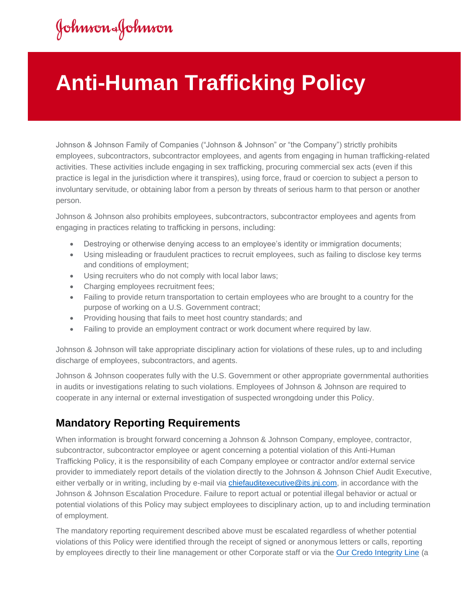## Johnson&Johnson

## **Anti-Human Trafficking Policy**

Johnson & Johnson Family of Companies ("Johnson & Johnson" or "the Company") strictly prohibits employees, subcontractors, subcontractor employees, and agents from engaging in human trafficking-related activities. These activities include engaging in sex trafficking, procuring commercial sex acts (even if this practice is legal in the jurisdiction where it transpires), using force, fraud or coercion to subject a person to involuntary servitude, or obtaining labor from a person by threats of serious harm to that person or another person.

Johnson & Johnson also prohibits employees, subcontractors, subcontractor employees and agents from engaging in practices relating to trafficking in persons, including:

- Destroying or otherwise denying access to an employee's identity or immigration documents;
- Using misleading or fraudulent practices to recruit employees, such as failing to disclose key terms and conditions of employment;
- Using recruiters who do not comply with local labor laws;
- Charging employees recruitment fees;
- Failing to provide return transportation to certain employees who are brought to a country for the purpose of working on a U.S. Government contract;
- Providing housing that fails to meet host country standards; and
- Failing to provide an employment contract or work document where required by law.

Johnson & Johnson will take appropriate disciplinary action for violations of these rules, up to and including discharge of employees, subcontractors, and agents.

Johnson & Johnson cooperates fully with the U.S. Government or other appropriate governmental authorities in audits or investigations relating to such violations. Employees of Johnson & Johnson are required to cooperate in any internal or external investigation of suspected wrongdoing under this Policy.

## **Mandatory Reporting Requirements**

When information is brought forward concerning a Johnson & Johnson Company, employee, contractor, subcontractor, subcontractor employee or agent concerning a potential violation of this Anti-Human Trafficking Policy, it is the responsibility of each Company employee or contractor and/or external service provider to immediately report details of the violation directly to the Johnson & Johnson Chief Audit Executive, either verbally or in writing, including by e-mail via [chiefauditexecutive@its.jnj.com,](mailto:chiefauditexecutive@its.jnj.com) in accordance with the Johnson & Johnson Escalation Procedure. Failure to report actual or potential illegal behavior or actual or potential violations of this Policy may subject employees to disciplinary action, up to and including termination of employment.

The mandatory reporting requirement described above must be escalated regardless of whether potential violations of this Policy were identified through the receipt of signed or anonymous letters or calls, reporting by employees directly to their line management or other Corporate staff or via the [Our Credo Integrity Line](https://secure.ethicspoint.com/domain/media/en/gui/28704/index.html) (a